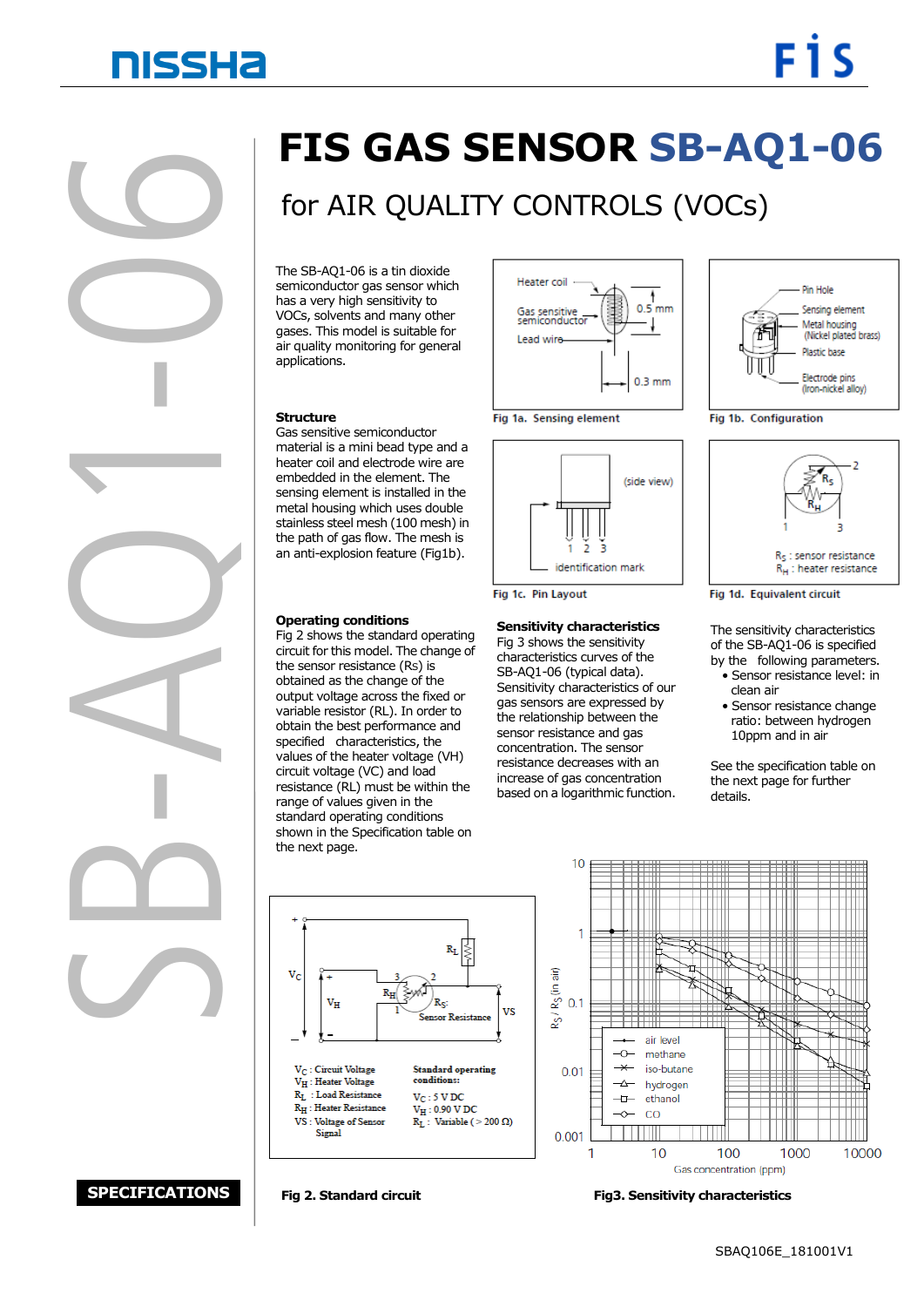# **NISSHA**

SB heater combedde<br>
sensing (<br>
metal ho<br>
stainless<br>
the path<br>
an anti-e<br>
operation<br>
Fig 2 shortcruit for<br>
the sense<br>
obtained<br>
output versing (<br>
operation<br>
operation<br>
operation<br>
operation<br>
operation<br>
operation<br>
operation<br>
ope  $\bigcirc$ ľ J ī Z <sup>6</sup>

# **FIS GAS SENSOR SB-AQ1-06**

## for AIR QUALITY CONTROLS (VOCs)

 applications. semiconductor gas sensor wr<br>has a very high sensitivity to gases. This model is suitable for The SB-AQ1-06 is a tin dioxide semiconductor gas sensor which VOCs, solvents and many other air quality monitoring for general

#### **Structure**

Gas sensitive semiconductor material is a mini bead type and a heater coil and electrode wire are embedded in the element. The sensing element is installed in the metal housing which uses double stainless steel mesh (100 mesh) in the path of gas flow. The mesh is an anti-explosion feature (Fig1b).

### **Operating conditions**

Fig 2 shows the standard operating circuit for this model. The change of the sensor resistance (RS) is obtained as the change of the output voltage across the fixed or variable resistor (RL). In order to obtain the best performance and specified characteristics, the values of the heater voltage (VH) circuit voltage (VC) and load resistance (RL) must be within the range of values given in the standard operating conditions shown in the Specification table on the next page.







Fig 1c. Pin Layout

### **Sensitivity characteristics**

Fig 3 shows the sensitivity characteristics curves of the SB-AQ1-06 (typical data). Sensitivity characteristics of our gas sensors are expressed by the relationship between the sensor resistance and gas concentration. The sensor resistance decreases with an increase of gas concentration based on a logarithmic function.



Fig 1b. Configuration



Fig 1d. Equivalent circuit

The sensitivity characteristics of the SB-AQ1-06 is specified by the following parameters.

- Sensor resistance level: in clean air
- Sensor resistance change ratio: between hydrogen 10ppm and in air

See the specification table on the next page for further details.





### **SPECIFICATIONS**